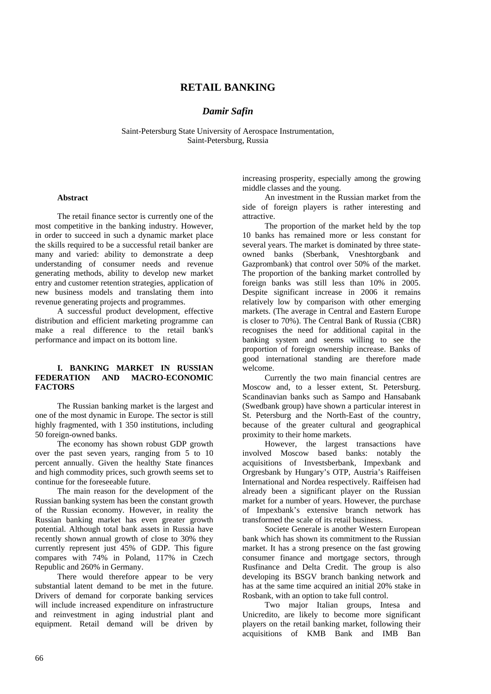# **RETAIL BANKING**

# *Damir Safin*

Saint-Petersburg State University of Aerospace Instrumentation, Saint-Petersburg, Russia

#### **Abstract**

The retail finance sector is currently one of the most competitive in the banking industry. However, in order to succeed in such a dynamic market place the skills required to be a successful retail banker are many and varied: ability to demonstrate a deep understanding of consumer needs and revenue generating methods, ability to develop new market entry and customer retention strategies, application of new business models and translating them into revenue generating projects and programmes.

A successful product development, effective distribution and efficient marketing programme can make a real difference to the retail bank's performance and impact on its bottom line.

## **I. BANKING MARKET IN RUSSIAN FEDERATION AND MACRO-ECONOMIC FACTORS**

The Russian banking market is the largest and one of the most dynamic in Europe. The sector is still highly fragmented, with 1 350 institutions, including 50 foreign-owned banks.

The economy has shown robust GDP growth over the past seven years, ranging from 5 to 10 percent annually. Given the healthy State finances and high commodity prices, such growth seems set to continue for the foreseeable future.

The main reason for the development of the Russian banking system has been the constant growth of the Russian economy. However, in reality the Russian banking market has even greater growth potential. Although total bank assets in Russia have recently shown annual growth of close to 30% they currently represent just 45% of GDP. This figure compares with 74% in Poland, 117% in Czech Republic and 260% in Germany.

There would therefore appear to be very substantial latent demand to be met in the future. Drivers of demand for corporate banking services will include increased expenditure on infrastructure and reinvestment in aging industrial plant and equipment. Retail demand will be driven by increasing prosperity, especially among the growing middle classes and the young.

An investment in the Russian market from the side of foreign players is rather interesting and attractive.

The proportion of the market held by the top 10 banks has remained more or less constant for several years. The market is dominated by three stateowned banks (Sberbank, Vneshtorgbank and Gazprombank) that control over 50% of the market. The proportion of the banking market controlled by foreign banks was still less than 10% in 2005. Despite significant increase in 2006 it remains relatively low by comparison with other emerging markets. (The average in Central and Eastern Europe is closer to 70%). The Central Bank of Russia (CBR) recognises the need for additional capital in the banking system and seems willing to see the proportion of foreign ownership increase. Banks of good international standing are therefore made welcome.

Currently the two main financial centres are Moscow and, to a lesser extent, St. Petersburg. Scandinavian banks such as Sampo and Hansabank (Swedbank group) have shown a particular interest in St. Petersburg and the North-East of the country, because of the greater cultural and geographical proximity to their home markets.

However, the largest transactions have involved Moscow based banks: notably the acquisitions of Investsberbank, Impexbank and Orgresbank by Hungary's OTP, Austria's Raiffeisen International and Nordea respectively. Raiffeisen had already been a significant player on the Russian market for a number of years. However, the purchase of Impexbank's extensive branch network has transformed the scale of its retail business.

Societe Generale is another Western European bank which has shown its commitment to the Russian market. It has a strong presence on the fast growing consumer finance and mortgage sectors, through Rusfinance and Delta Credit. The group is also developing its BSGV branch banking network and has at the same time acquired an initial 20% stake in Rosbank, with an option to take full control.

Two major Italian groups, Intesa and Unicredito, are likely to become more significant players on the retail banking market, following their acquisitions of KMB Bank and IMB Ban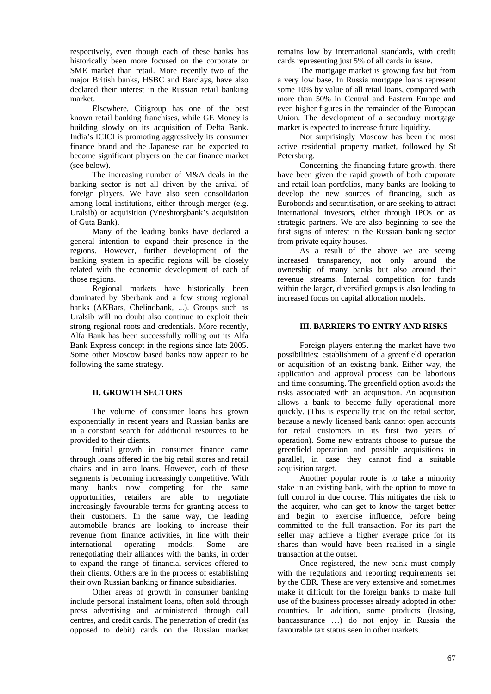respectively, even though each of these banks has historically been more focused on the corporate or SME market than retail. More recently two of the major British banks, HSBC and Barclays, have also declared their interest in the Russian retail banking market.

Elsewhere, Citigroup has one of the best known retail banking franchises, while GE Money is building slowly on its acquisition of Delta Bank. India's ICICI is promoting aggressively its consumer finance brand and the Japanese can be expected to become significant players on the car finance market (see below).

The increasing number of M&A deals in the banking sector is not all driven by the arrival of foreign players. We have also seen consolidation among local institutions, either through merger (e.g. Uralsib) or acquisition (Vneshtorgbank's acquisition of Guta Bank).

Many of the leading banks have declared a general intention to expand their presence in the regions. However, further development of the banking system in specific regions will be closely related with the economic development of each of those regions.

Regional markets have historically been dominated by Sberbank and a few strong regional banks (AKBars, Chelindbank, ...). Groups such as Uralsib will no doubt also continue to exploit their strong regional roots and credentials. More recently, Alfa Bank has been successfully rolling out its Alfa Bank Express concept in the regions since late 2005. Some other Moscow based banks now appear to be following the same strategy.

# **II. GROWTH SECTORS**

The volume of consumer loans has grown exponentially in recent years and Russian banks are in a constant search for additional resources to be provided to their clients.

Initial growth in consumer finance came through loans offered in the big retail stores and retail chains and in auto loans. However, each of these segments is becoming increasingly competitive. With many banks now competing for the same opportunities, retailers are able to negotiate increasingly favourable terms for granting access to their customers. In the same way, the leading automobile brands are looking to increase their revenue from finance activities, in line with their international operating models. Some are renegotiating their alliances with the banks, in order to expand the range of financial services offered to their clients. Others are in the process of establishing their own Russian banking or finance subsidiaries.

Other areas of growth in consumer banking include personal instalment loans, often sold through press advertising and administered through call centres, and credit cards. The penetration of credit (as opposed to debit) cards on the Russian market remains low by international standards, with credit cards representing just 5% of all cards in issue.

The mortgage market is growing fast but from a very low base. In Russia mortgage loans represent some 10% by value of all retail loans, compared with more than 50% in Central and Eastern Europe and even higher figures in the remainder of the European Union. The development of a secondary mortgage market is expected to increase future liquidity.

Not surprisingly Moscow has been the most active residential property market, followed by St Petersburg.

Concerning the financing future growth, there have been given the rapid growth of both corporate and retail loan portfolios, many banks are looking to develop the new sources of financing, such as Eurobonds and securitisation, or are seeking to attract international investors, either through IPOs or as strategic partners. We are also beginning to see the first signs of interest in the Russian banking sector from private equity houses.

As a result of the above we are seeing increased transparency, not only around the ownership of many banks but also around their revenue streams. Internal competition for funds within the larger, diversified groups is also leading to increased focus on capital allocation models.

### **III. BARRIERS TO ENTRY AND RISKS**

Foreign players entering the market have two possibilities: establishment of a greenfield operation or acquisition of an existing bank. Either way, the application and approval process can be laborious and time consuming. The greenfield option avoids the risks associated with an acquisition. An acquisition allows a bank to become fully operational more quickly. (This is especially true on the retail sector, because a newly licensed bank cannot open accounts for retail customers in its first two years of operation). Some new entrants choose to pursue the greenfield operation and possible acquisitions in parallel, in case they cannot find a suitable acquisition target.

Another popular route is to take a minority stake in an existing bank, with the option to move to full control in due course. This mitigates the risk to the acquirer, who can get to know the target better and begin to exercise influence, before being committed to the full transaction. For its part the seller may achieve a higher average price for its shares than would have been realised in a single transaction at the outset.

Once registered, the new bank must comply with the regulations and reporting requirements set by the CBR. These are very extensive and sometimes make it difficult for the foreign banks to make full use of the business processes already adopted in other countries. In addition, some products (leasing, bancassurance …) do not enjoy in Russia the favourable tax status seen in other markets.